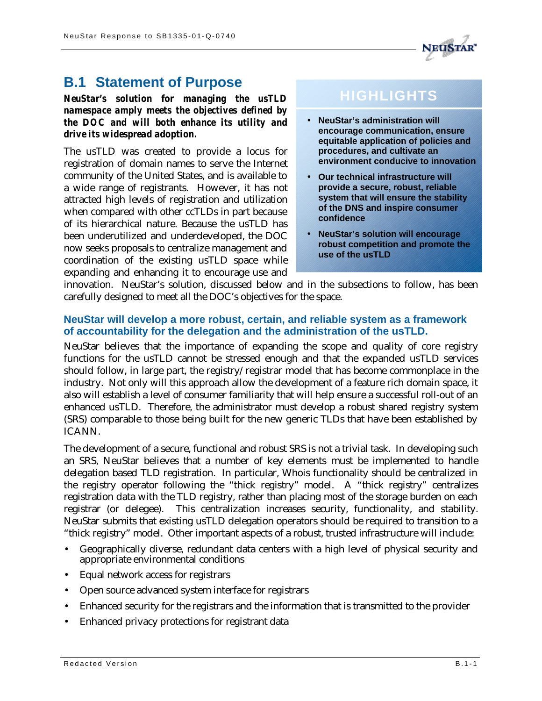# **B.1 Statement of Purpose**

*NeuStar's solution for managing the usTLD namespace amply meets the objectives defined by the DOC and will both enhance its utility and drive its widespread adoption.*

The usTLD was created to provide a locus for registration of domain names to serve the Internet community of the United States, and is available to a wide range of registrants. However, it has not attracted high levels of registration and utilization when compared with other ccTLDs in part because of its hierarchical nature. Because the usTLD has been underutilized and underdeveloped, the DOC now seeks proposals to centralize management and coordination of the existing usTLD space while expanding and enhancing it to encourage use and

# **HIGHLIGHTS**

- **NeuStar's administration will encourage communication, ensure equitable application of policies and procedures, and cultivate an environment conducive to innovation**
- **Our technical infrastructure will provide a secure, robust, reliable system that will ensure the stability of the DNS and inspire consumer confidence**
- **NeuStar's solution will encourage robust competition and promote the use of the usTLD**

innovation. NeuStar's solution, discussed below and in the subsections to follow, has been carefully designed to meet all the DOC's objectives for the space.

#### **NeuStar will develop a more robust, certain, and reliable system as a framework of accountability for the delegation and the administration of the usTLD.**

NeuStar believes that the importance of expanding the scope and quality of core registry functions for the usTLD cannot be stressed enough and that the expanded usTLD services should follow, in large part, the registry/registrar model that has become commonplace in the industry. Not only will this approach allow the development of a feature rich domain space, it also will establish a level of consumer familiarity that will help ensure a successful roll-out of an enhanced usTLD. Therefore, the administrator must develop a robust shared registry system (SRS) comparable to those being built for the new generic TLDs that have been established by ICANN.

The development of a secure, functional and robust SRS is not a trivial task. In developing such an SRS, NeuStar believes that a number of key elements must be implemented to handle delegation based TLD registration. In particular, Whois functionality should be centralized in the registry operator following the "thick registry" model. A "thick registry" centralizes registration data with the TLD registry, rather than placing most of the storage burden on each registrar (or delegee). This centralization increases security, functionality, and stability. NeuStar submits that existing usTLD delegation operators should be required to transition to a "thick registry" model. Other important aspects of a robust, trusted infrastructure will include:

- Geographically diverse, redundant data centers with a high level of physical security and appropriate environmental conditions
- Equal network access for registrars
- Open source advanced system interface for registrars
- Enhanced security for the registrars and the information that is transmitted to the provider
- Enhanced privacy protections for registrant data

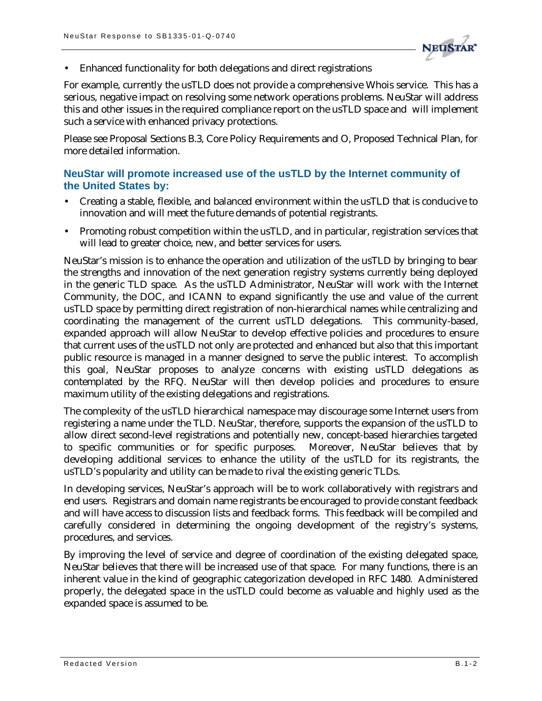

• Enhanced functionality for both delegations and direct registrations

For example, currently the usTLD does not provide a comprehensive Whois service. This has a serious, negative impact on resolving some network operations problems. NeuStar will address this and other issues in the required compliance report on the usTLD space and will implement such a service with enhanced privacy protections.

Please see Proposal Sections B.3, Core Policy Requirements and O, Proposed Technical Plan, for more detailed information.

## **NeuStar will promote increased use of the usTLD by the Internet community of the United States by:**

- Creating a stable, flexible, and balanced environment within the usTLD that is conducive to innovation and will meet the future demands of potential registrants.
- Promoting robust competition within the usTLD, and in particular, registration services that will lead to greater choice, new, and better services for users.

NeuStar's mission is to enhance the operation and utilization of the usTLD by bringing to bear the strengths and innovation of the next generation registry systems currently being deployed in the generic TLD space. As the usTLD Administrator, NeuStar will work with the Internet Community, the DOC, and ICANN to expand significantly the use and value of the current usTLD space by permitting direct registration of non-hierarchical names while centralizing and coordinating the management of the current usTLD delegations. This community-based, expanded approach will allow NeuStar to develop effective policies and procedures to ensure that current uses of the usTLD not only are protected and enhanced but also that this important public resource is managed in a manner designed to serve the public interest. To accomplish this goal, NeuStar proposes to analyze concerns with existing usTLD delegations as contemplated by the RFQ. NeuStar will then develop policies and procedures to ensure maximum utility of the existing delegations and registrations.

The complexity of the usTLD hierarchical namespace may discourage some Internet users from registering a name under the TLD. NeuStar, therefore, supports the expansion of the usTLD to allow direct second-level registrations and potentially new, concept-based hierarchies targeted to specific communities or for specific purposes. Moreover, NeuStar believes that by developing additional services to enhance the utility of the usTLD for its registrants, the usTLD's popularity and utility can be made to rival the existing generic TLDs.

In developing services, NeuStar's approach will be to work collaboratively with registrars and end users. Registrars and domain name registrants be encouraged to provide constant feedback and will have access to discussion lists and feedback forms. This feedback will be compiled and carefully considered in determining the ongoing development of the registry's systems, procedures, and services.

By improving the level of service and degree of coordination of the existing delegated space, NeuStar believes that there will be increased use of that space. For many functions, there is an inherent value in the kind of geographic categorization developed in RFC 1480. Administered properly, the delegated space in the usTLD could become as valuable and highly used as the expanded space is assumed to be.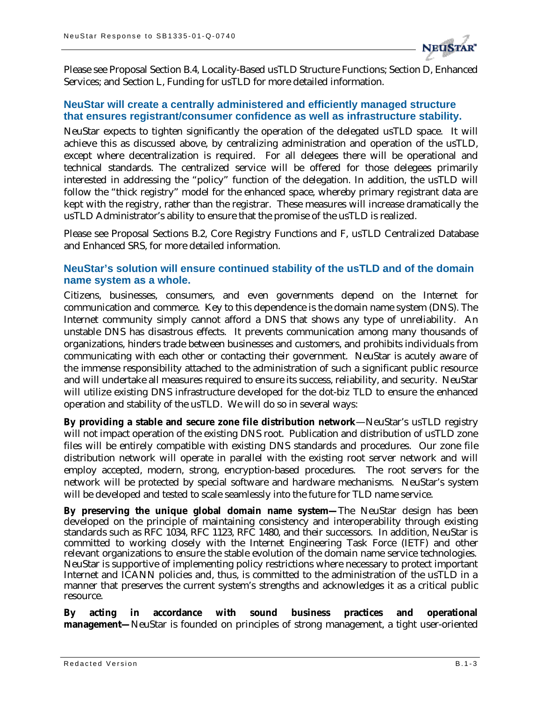

Please see Proposal Section B.4, Locality-Based usTLD Structure Functions; Section D, Enhanced Services; and Section L, Funding for usTLD for more detailed information.

#### **NeuStar will create a centrally administered and efficiently managed structure that ensures registrant/consumer confidence as well as infrastructure stability.**

NeuStar expects to tighten significantly the operation of the delegated usTLD space. It will achieve this as discussed above, by centralizing administration and operation of the usTLD, except where decentralization is required. For all delegees there will be operational and technical standards. The centralized service will be offered for those delegees primarily interested in addressing the "policy" function of the delegation. In addition, the usTLD will follow the "thick registry" model for the enhanced space, whereby primary registrant data are kept with the registry, rather than the registrar. These measures will increase dramatically the usTLD Administrator's ability to ensure that the promise of the usTLD is realized.

Please see Proposal Sections B.2, Core Registry Functions and F, usTLD Centralized Database and Enhanced SRS, for more detailed information.

#### **NeuStar's solution will ensure continued stability of the usTLD and of the domain name system as a whole.**

Citizens, businesses, consumers, and even governments depend on the Internet for communication and commerce. Key to this dependence is the domain name system (DNS). The Internet community simply cannot afford a DNS that shows any type of unreliability. An unstable DNS has disastrous effects. It prevents communication among many thousands of organizations, hinders trade between businesses and customers, and prohibits individuals from communicating with each other or contacting their government. NeuStar is acutely aware of the immense responsibility attached to the administration of such a significant public resource and will undertake all measures required to ensure its success, reliability, and security. NeuStar will utilize existing DNS infrastructure developed for the dot-biz TLD to ensure the enhanced operation and stability of the usTLD. We will do so in several ways:

**By providing a stable and secure zone file distribution network**—NeuStar's usTLD registry will not impact operation of the existing DNS root. Publication and distribution of usTLD zone files will be entirely compatible with existing DNS standards and procedures. Our zone file distribution network will operate in parallel with the existing root server network and will employ accepted, modern, strong, encryption-based procedures. The root servers for the network will be protected by special software and hardware mechanisms. NeuStar's system will be developed and tested to scale seamlessly into the future for TLD name service.

**By preserving the unique global domain name system—**The NeuStar design has been developed on the principle of maintaining consistency and interoperability through existing standards such as RFC 1034, RFC 1123, RFC 1480, and their successors. In addition, NeuStar is committed to working closely with the Internet Engineering Task Force (IETF) and other relevant organizations to ensure the stable evolution of the domain name service technologies. NeuStar is supportive of implementing policy restrictions where necessary to protect important Internet and ICANN policies and, thus, is committed to the administration of the usTLD in a manner that preserves the current system's strengths and acknowledges it as a critical public resource.

**By acting in accordance with sound business practices and operational management—**NeuStar is founded on principles of strong management, a tight user-oriented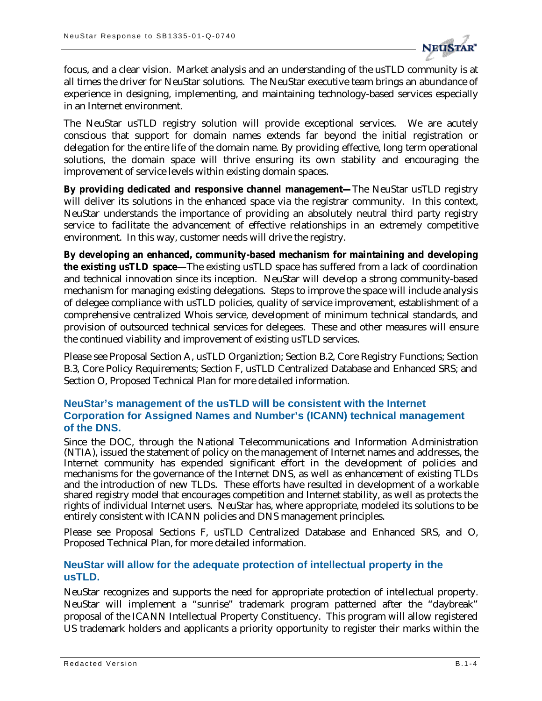

focus, and a clear vision. Market analysis and an understanding of the usTLD community is at all times the driver for NeuStar solutions. The NeuStar executive team brings an abundance of experience in designing, implementing, and maintaining technology-based services especially in an Internet environment.

The NeuStar usTLD registry solution will provide exceptional services. We are acutely conscious that support for domain names extends far beyond the initial registration or delegation for the entire life of the domain name. By providing effective, long term operational solutions, the domain space will thrive ensuring its own stability and encouraging the improvement of service levels within existing domain spaces.

**By providing dedicated and responsive channel management—**The NeuStar usTLD registry will deliver its solutions in the enhanced space via the registrar community. In this context, NeuStar understands the importance of providing an absolutely neutral third party registry service to facilitate the advancement of effective relationships in an extremely competitive environment. In this way, customer needs will drive the registry.

**By developing an enhanced, community-based mechanism for maintaining and developing the existing usTLD space**—The existing usTLD space has suffered from a lack of coordination and technical innovation since its inception. NeuStar will develop a strong community-based mechanism for managing existing delegations. Steps to improve the space will include analysis of delegee compliance with usTLD policies, quality of service improvement, establishment of a comprehensive centralized Whois service, development of minimum technical standards, and provision of outsourced technical services for delegees. These and other measures will ensure the continued viability and improvement of existing usTLD services.

Please see Proposal Section A, usTLD Organiztion; Section B.2, Core Registry Functions; Section B.3, Core Policy Requirements; Section F, usTLD Centralized Database and Enhanced SRS; and Section O, Proposed Technical Plan for more detailed information.

## **NeuStar's management of the usTLD will be consistent with the Internet Corporation for Assigned Names and Number's (ICANN) technical management of the DNS.**

Since the DOC, through the National Telecommunications and Information Administration (NTIA), issued the statement of policy on the management of Internet names and addresses, the Internet community has expended significant effort in the development of policies and mechanisms for the governance of the Internet DNS, as well as enhancement of existing TLDs and the introduction of new TLDs. These efforts have resulted in development of a workable shared registry model that encourages competition and Internet stability, as well as protects the rights of individual Internet users. NeuStar has, where appropriate, modeled its solutions to be entirely consistent with ICANN policies and DNS management principles.

Please see Proposal Sections F, usTLD Centralized Database and Enhanced SRS, and O, Proposed Technical Plan, for more detailed information.

#### **NeuStar will allow for the adequate protection of intellectual property in the usTLD.**

NeuStar recognizes and supports the need for appropriate protection of intellectual property. NeuStar will implement a "sunrise" trademark program patterned after the "daybreak" proposal of the ICANN Intellectual Property Constituency. This program will allow registered US trademark holders and applicants a priority opportunity to register their marks within the